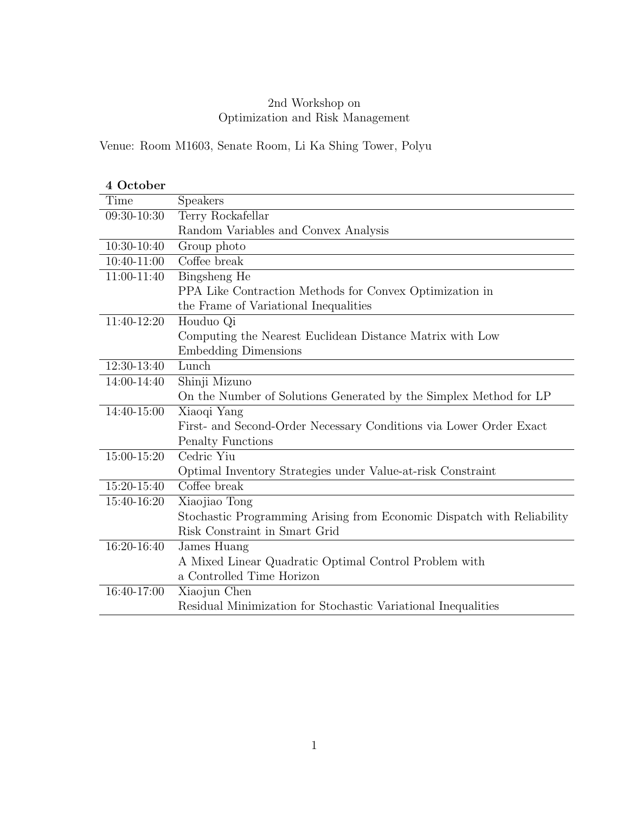### 2nd Workshop on Optimization and Risk Management

Venue: Room M1603, Senate Room, Li Ka Shing Tower, Polyu

| 4 October   |                                                                        |
|-------------|------------------------------------------------------------------------|
| Time        | Speakers                                                               |
| 09:30-10:30 | Terry Rockafellar                                                      |
|             | Random Variables and Convex Analysis                                   |
| 10:30-10:40 | Group photo                                                            |
| 10:40-11:00 | Coffee break                                                           |
| 11:00-11:40 | Bingsheng He                                                           |
|             | PPA Like Contraction Methods for Convex Optimization in                |
|             | the Frame of Variational Inequalities                                  |
| 11:40-12:20 | Houduo Qi                                                              |
|             | Computing the Nearest Euclidean Distance Matrix with Low               |
|             | <b>Embedding Dimensions</b>                                            |
| 12:30-13:40 | Lunch                                                                  |
| 14:00-14:40 | Shinji Mizuno                                                          |
|             | On the Number of Solutions Generated by the Simplex Method for LP      |
| 14:40-15:00 | Xiaoqi Yang                                                            |
|             | First- and Second-Order Necessary Conditions via Lower Order Exact     |
|             | <b>Penalty Functions</b>                                               |
| 15:00-15:20 | Cedric Yiu                                                             |
|             | Optimal Inventory Strategies under Value-at-risk Constraint            |
| 15:20-15:40 | Coffee break                                                           |
| 15:40-16:20 | Xiaojiao Tong                                                          |
|             | Stochastic Programming Arising from Economic Dispatch with Reliability |
|             | Risk Constraint in Smart Grid                                          |
| 16:20-16:40 | James Huang                                                            |
|             | A Mixed Linear Quadratic Optimal Control Problem with                  |
|             | a Controlled Time Horizon                                              |
| 16:40-17:00 | Xiaojun Chen                                                           |
|             | Residual Minimization for Stochastic Variational Inequalities          |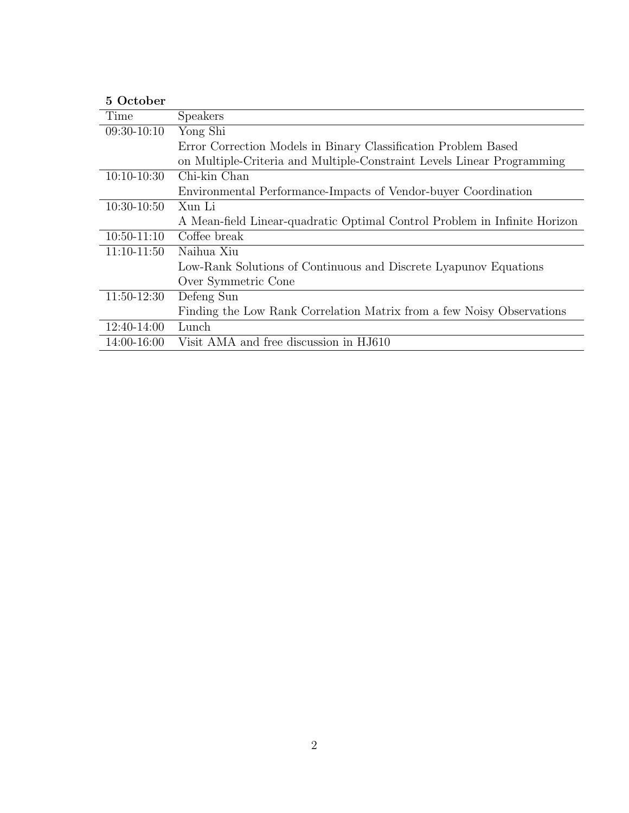## **5 October**

| Time          | Speakers                                                                  |
|---------------|---------------------------------------------------------------------------|
| $09:30-10:10$ | Yong Shi                                                                  |
|               | Error Correction Models in Binary Classification Problem Based            |
|               | on Multiple-Criteria and Multiple-Constraint Levels Linear Programming    |
| $10:10-10:30$ | Chi-kin Chan                                                              |
|               | Environmental Performance-Impacts of Vendor-buyer Coordination            |
| $10:30-10:50$ | Xun Li                                                                    |
|               | A Mean-field Linear-quadratic Optimal Control Problem in Infinite Horizon |
| $10:50-11:10$ | Coffee break                                                              |
| $11:10-11:50$ | Naihua Xiu                                                                |
|               | Low-Rank Solutions of Continuous and Discrete Lyapunov Equations          |
|               | Over Symmetric Cone                                                       |
| $11:50-12:30$ | Defeng Sun                                                                |
|               | Finding the Low Rank Correlation Matrix from a few Noisy Observations     |
| 12:40-14:00   | Lunch                                                                     |
| 14:00-16:00   | Visit AMA and free discussion in HJ610                                    |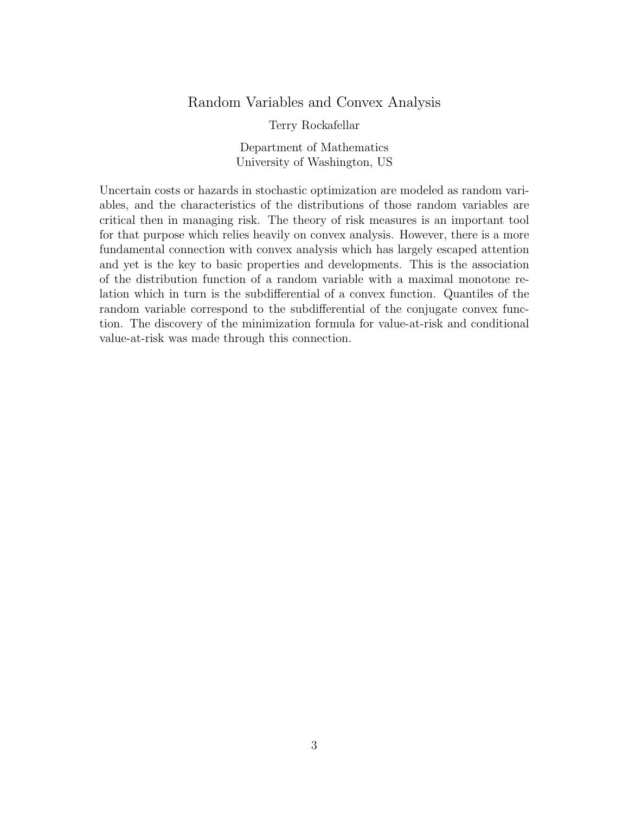### Random Variables and Convex Analysis

Terry Rockafellar

Department of Mathematics University of Washington, US

Uncertain costs or hazards in stochastic optimization are modeled as random variables, and the characteristics of the distributions of those random variables are critical then in managing risk. The theory of risk measures is an important tool for that purpose which relies heavily on convex analysis. However, there is a more fundamental connection with convex analysis which has largely escaped attention and yet is the key to basic properties and developments. This is the association of the distribution function of a random variable with a maximal monotone relation which in turn is the subdifferential of a convex function. Quantiles of the random variable correspond to the subdifferential of the conjugate convex function. The discovery of the minimization formula for value-at-risk and conditional value-at-risk was made through this connection.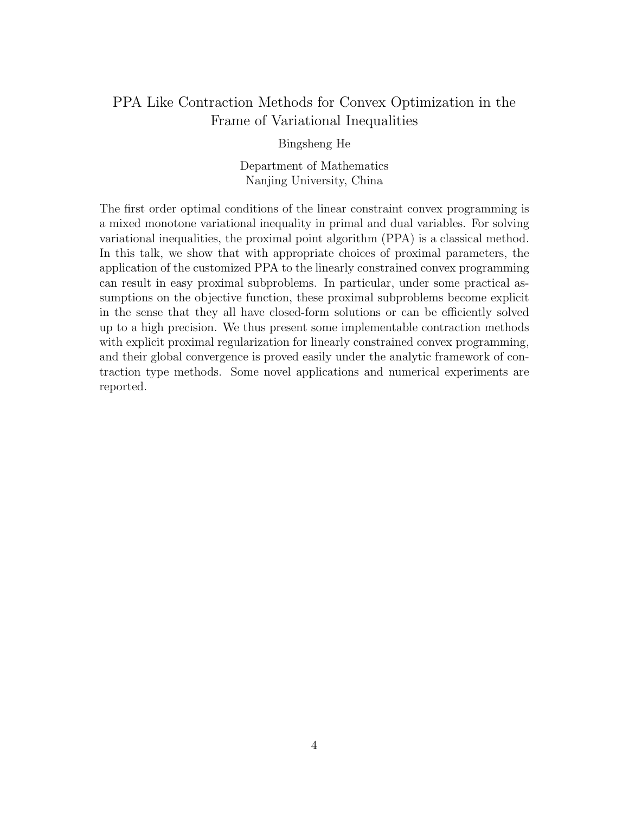# PPA Like Contraction Methods for Convex Optimization in the Frame of Variational Inequalities

Bingsheng He

Department of Mathematics Nanjing University, China

The first order optimal conditions of the linear constraint convex programming is a mixed monotone variational inequality in primal and dual variables. For solving variational inequalities, the proximal point algorithm (PPA) is a classical method. In this talk, we show that with appropriate choices of proximal parameters, the application of the customized PPA to the linearly constrained convex programming can result in easy proximal subproblems. In particular, under some practical assumptions on the objective function, these proximal subproblems become explicit in the sense that they all have closed-form solutions or can be efficiently solved up to a high precision. We thus present some implementable contraction methods with explicit proximal regularization for linearly constrained convex programming, and their global convergence is proved easily under the analytic framework of contraction type methods. Some novel applications and numerical experiments are reported.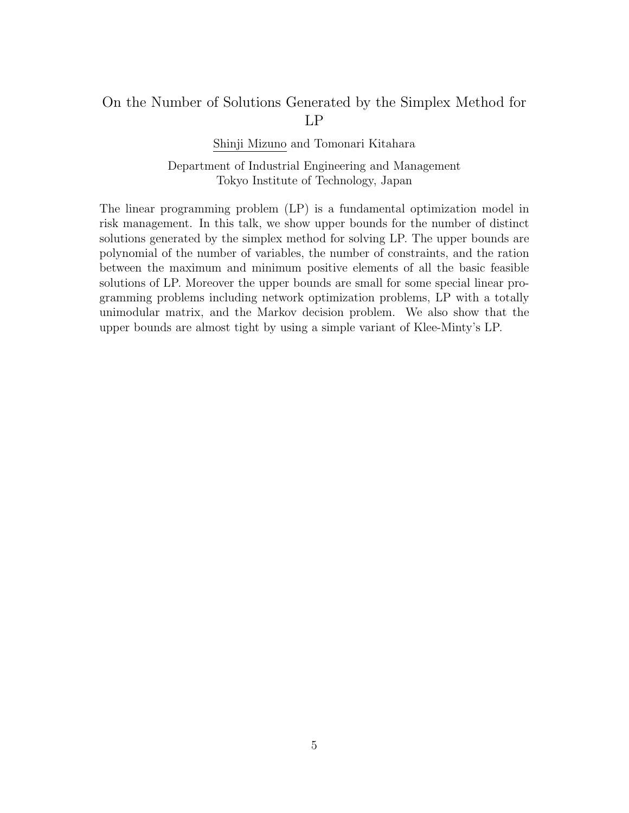## On the Number of Solutions Generated by the Simplex Method for LP

Shinji Mizuno and Tomonari Kitahara

Department of Industrial Engineering and Management Tokyo Institute of Technology, Japan

The linear programming problem (LP) is a fundamental optimization model in risk management. In this talk, we show upper bounds for the number of distinct solutions generated by the simplex method for solving LP. The upper bounds are polynomial of the number of variables, the number of constraints, and the ration between the maximum and minimum positive elements of all the basic feasible solutions of LP. Moreover the upper bounds are small for some special linear programming problems including network optimization problems, LP with a totally unimodular matrix, and the Markov decision problem. We also show that the upper bounds are almost tight by using a simple variant of Klee-Minty's LP.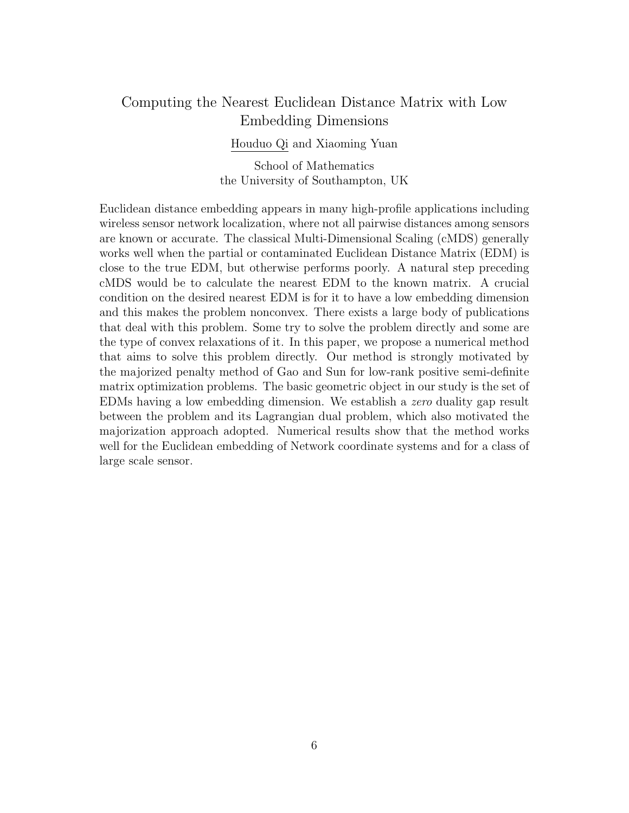## Computing the Nearest Euclidean Distance Matrix with Low Embedding Dimensions

Houduo Qi and Xiaoming Yuan

School of Mathematics the University of Southampton, UK

Euclidean distance embedding appears in many high-profile applications including wireless sensor network localization, where not all pairwise distances among sensors are known or accurate. The classical Multi-Dimensional Scaling (cMDS) generally works well when the partial or contaminated Euclidean Distance Matrix (EDM) is close to the true EDM, but otherwise performs poorly. A natural step preceding cMDS would be to calculate the nearest EDM to the known matrix. A crucial condition on the desired nearest EDM is for it to have a low embedding dimension and this makes the problem nonconvex. There exists a large body of publications that deal with this problem. Some try to solve the problem directly and some are the type of convex relaxations of it. In this paper, we propose a numerical method that aims to solve this problem directly. Our method is strongly motivated by the majorized penalty method of Gao and Sun for low-rank positive semi-definite matrix optimization problems. The basic geometric object in our study is the set of EDMs having a low embedding dimension. We establish a *zero* duality gap result between the problem and its Lagrangian dual problem, which also motivated the majorization approach adopted. Numerical results show that the method works well for the Euclidean embedding of Network coordinate systems and for a class of large scale sensor.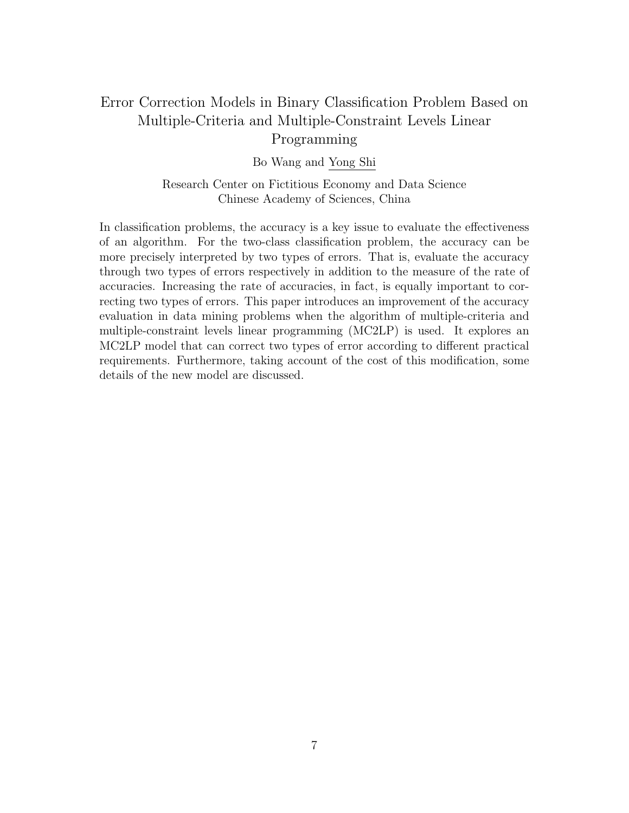# Error Correction Models in Binary Classification Problem Based on Multiple-Criteria and Multiple-Constraint Levels Linear Programming

Bo Wang and Yong Shi

Research Center on Fictitious Economy and Data Science Chinese Academy of Sciences, China

In classification problems, the accuracy is a key issue to evaluate the effectiveness of an algorithm. For the two-class classification problem, the accuracy can be more precisely interpreted by two types of errors. That is, evaluate the accuracy through two types of errors respectively in addition to the measure of the rate of accuracies. Increasing the rate of accuracies, in fact, is equally important to correcting two types of errors. This paper introduces an improvement of the accuracy evaluation in data mining problems when the algorithm of multiple-criteria and multiple-constraint levels linear programming (MC2LP) is used. It explores an MC2LP model that can correct two types of error according to different practical requirements. Furthermore, taking account of the cost of this modification, some details of the new model are discussed.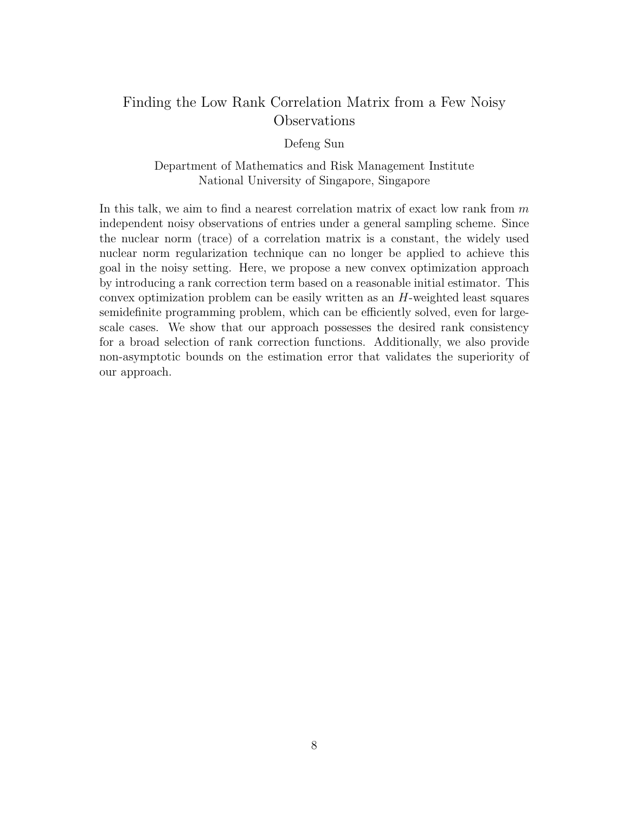# Finding the Low Rank Correlation Matrix from a Few Noisy Observations

Defeng Sun

Department of Mathematics and Risk Management Institute National University of Singapore, Singapore

In this talk, we aim to find a nearest correlation matrix of exact low rank from *m* independent noisy observations of entries under a general sampling scheme. Since the nuclear norm (trace) of a correlation matrix is a constant, the widely used nuclear norm regularization technique can no longer be applied to achieve this goal in the noisy setting. Here, we propose a new convex optimization approach by introducing a rank correction term based on a reasonable initial estimator. This convex optimization problem can be easily written as an *H*-weighted least squares semidefinite programming problem, which can be efficiently solved, even for largescale cases. We show that our approach possesses the desired rank consistency for a broad selection of rank correction functions. Additionally, we also provide non-asymptotic bounds on the estimation error that validates the superiority of our approach.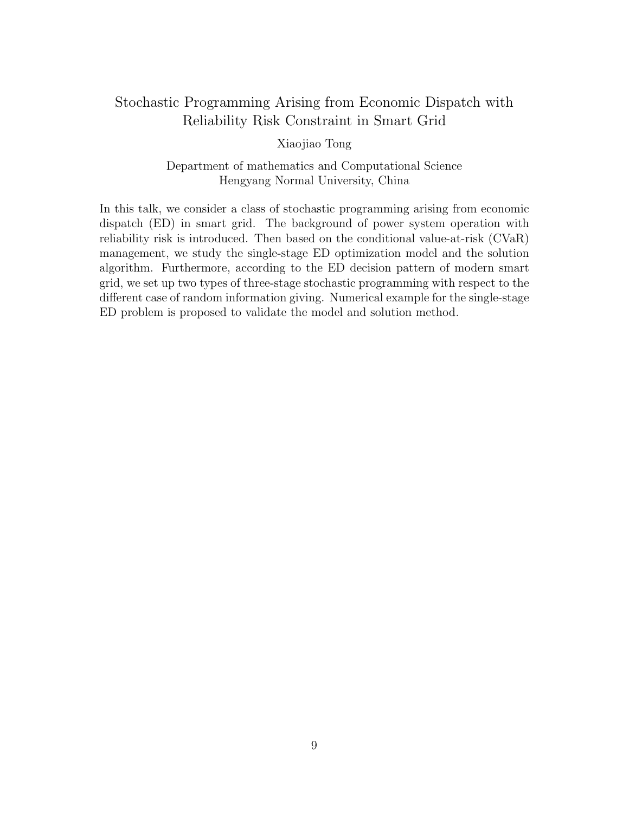# Stochastic Programming Arising from Economic Dispatch with Reliability Risk Constraint in Smart Grid

Xiaojiao Tong

Department of mathematics and Computational Science Hengyang Normal University, China

In this talk, we consider a class of stochastic programming arising from economic dispatch (ED) in smart grid. The background of power system operation with reliability risk is introduced. Then based on the conditional value-at-risk (CVaR) management, we study the single-stage ED optimization model and the solution algorithm. Furthermore, according to the ED decision pattern of modern smart grid, we set up two types of three-stage stochastic programming with respect to the different case of random information giving. Numerical example for the single-stage ED problem is proposed to validate the model and solution method.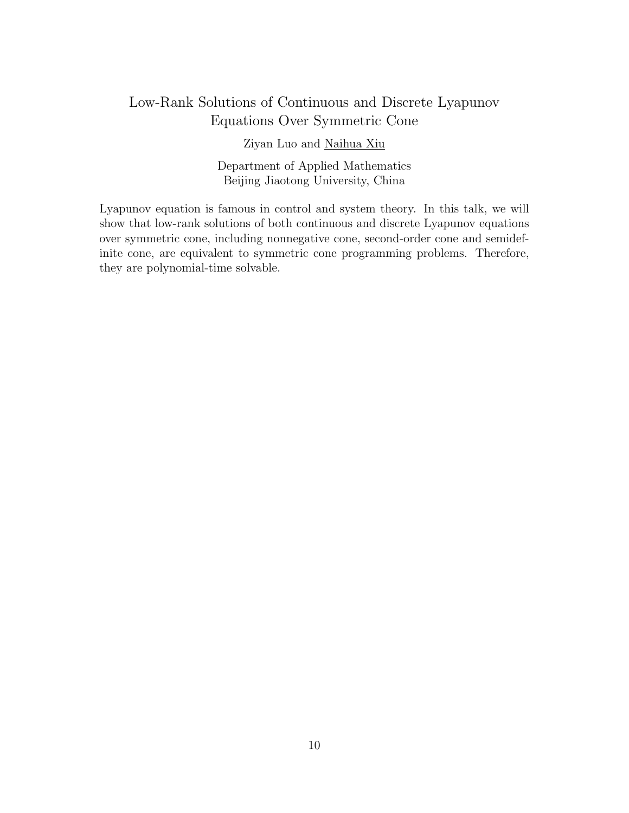# Low-Rank Solutions of Continuous and Discrete Lyapunov Equations Over Symmetric Cone

Ziyan Luo and Naihua Xiu

Department of Applied Mathematics Beijing Jiaotong University, China

Lyapunov equation is famous in control and system theory. In this talk, we will show that low-rank solutions of both continuous and discrete Lyapunov equations over symmetric cone, including nonnegative cone, second-order cone and semidefinite cone, are equivalent to symmetric cone programming problems. Therefore, they are polynomial-time solvable.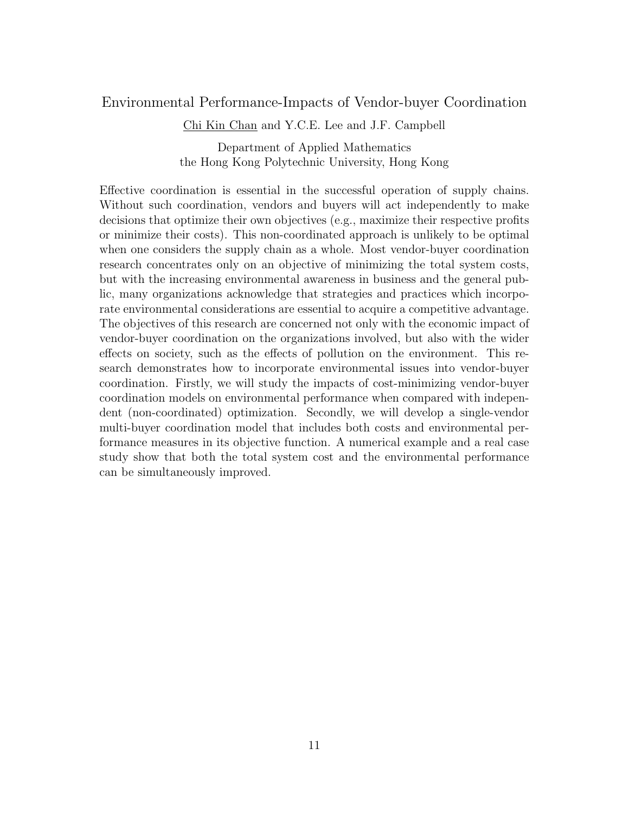### Environmental Performance-Impacts of Vendor-buyer Coordination

Chi Kin Chan and Y.C.E. Lee and J.F. Campbell

Department of Applied Mathematics the Hong Kong Polytechnic University, Hong Kong

Effective coordination is essential in the successful operation of supply chains. Without such coordination, vendors and buyers will act independently to make decisions that optimize their own objectives (e.g., maximize their respective profits or minimize their costs). This non-coordinated approach is unlikely to be optimal when one considers the supply chain as a whole. Most vendor-buyer coordination research concentrates only on an objective of minimizing the total system costs, but with the increasing environmental awareness in business and the general public, many organizations acknowledge that strategies and practices which incorporate environmental considerations are essential to acquire a competitive advantage. The objectives of this research are concerned not only with the economic impact of vendor-buyer coordination on the organizations involved, but also with the wider effects on society, such as the effects of pollution on the environment. This research demonstrates how to incorporate environmental issues into vendor-buyer coordination. Firstly, we will study the impacts of cost-minimizing vendor-buyer coordination models on environmental performance when compared with independent (non-coordinated) optimization. Secondly, we will develop a single-vendor multi-buyer coordination model that includes both costs and environmental performance measures in its objective function. A numerical example and a real case study show that both the total system cost and the environmental performance can be simultaneously improved.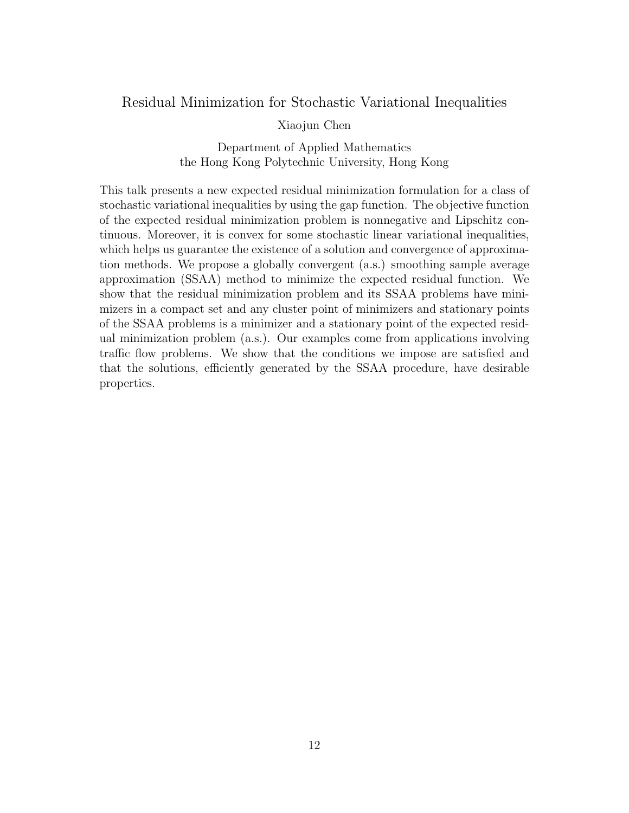### Residual Minimization for Stochastic Variational Inequalities

#### Xiaojun Chen

Department of Applied Mathematics the Hong Kong Polytechnic University, Hong Kong

This talk presents a new expected residual minimization formulation for a class of stochastic variational inequalities by using the gap function. The objective function of the expected residual minimization problem is nonnegative and Lipschitz continuous. Moreover, it is convex for some stochastic linear variational inequalities, which helps us guarantee the existence of a solution and convergence of approximation methods. We propose a globally convergent (a.s.) smoothing sample average approximation (SSAA) method to minimize the expected residual function. We show that the residual minimization problem and its SSAA problems have minimizers in a compact set and any cluster point of minimizers and stationary points of the SSAA problems is a minimizer and a stationary point of the expected residual minimization problem (a.s.). Our examples come from applications involving traffic flow problems. We show that the conditions we impose are satisfied and that the solutions, efficiently generated by the SSAA procedure, have desirable properties.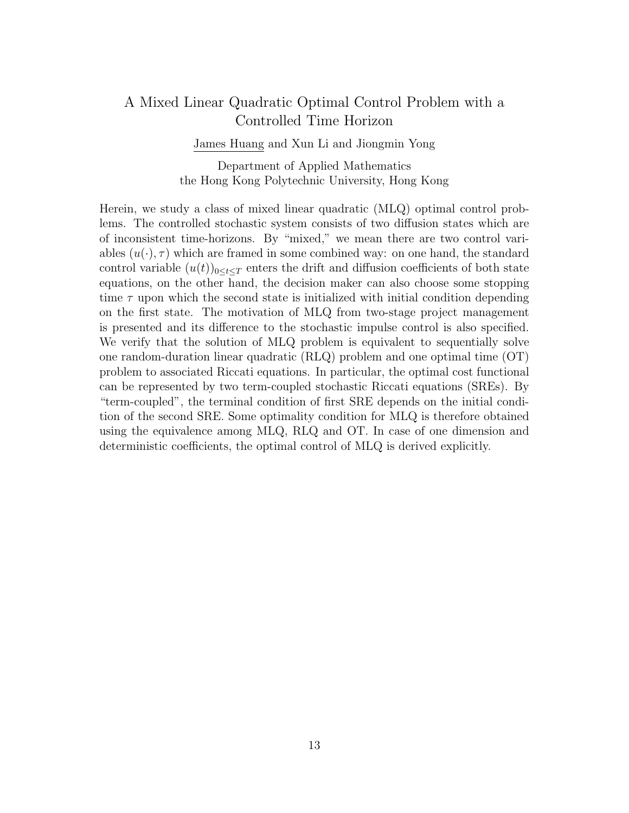## A Mixed Linear Quadratic Optimal Control Problem with a Controlled Time Horizon

James Huang and Xun Li and Jiongmin Yong

Department of Applied Mathematics the Hong Kong Polytechnic University, Hong Kong

Herein, we study a class of mixed linear quadratic (MLQ) optimal control problems. The controlled stochastic system consists of two diffusion states which are of inconsistent time-horizons. By "mixed," we mean there are two control variables  $(u(\cdot), \tau)$  which are framed in some combined way: on one hand, the standard control variable  $(u(t))_{0\leq t\leq T}$  enters the drift and diffusion coefficients of both state equations, on the other hand, the decision maker can also choose some stopping time  $\tau$  upon which the second state is initialized with initial condition depending on the first state. The motivation of MLQ from two-stage project management is presented and its difference to the stochastic impulse control is also specified. We verify that the solution of MLQ problem is equivalent to sequentially solve one random-duration linear quadratic (RLQ) problem and one optimal time (OT) problem to associated Riccati equations. In particular, the optimal cost functional can be represented by two term-coupled stochastic Riccati equations (SREs). By "term-coupled", the terminal condition of first SRE depends on the initial condition of the second SRE. Some optimality condition for MLQ is therefore obtained using the equivalence among MLQ, RLQ and OT. In case of one dimension and deterministic coefficients, the optimal control of MLQ is derived explicitly.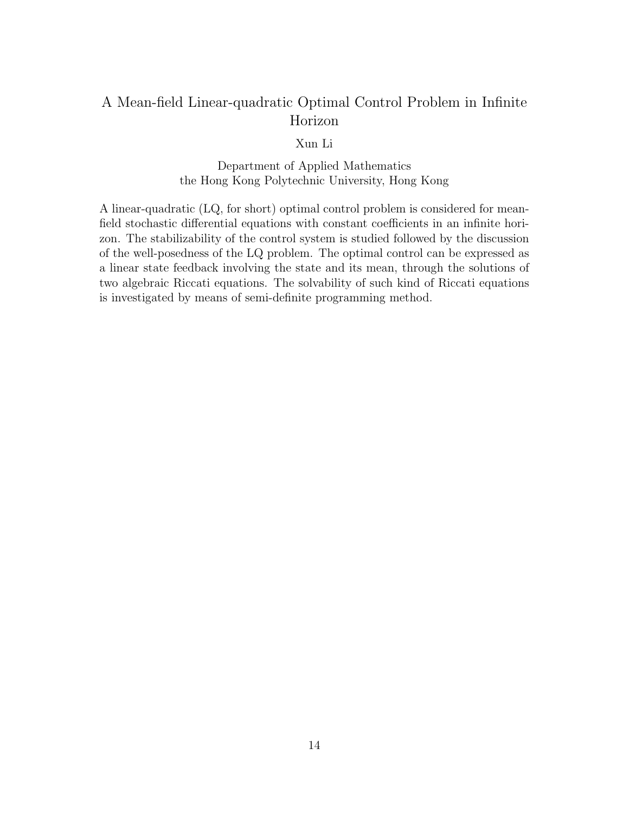# A Mean-field Linear-quadratic Optimal Control Problem in Infinite Horizon

Xun Li

Department of Applied Mathematics the Hong Kong Polytechnic University, Hong Kong

A linear-quadratic (LQ, for short) optimal control problem is considered for meanfield stochastic differential equations with constant coefficients in an infinite horizon. The stabilizability of the control system is studied followed by the discussion of the well-posedness of the LQ problem. The optimal control can be expressed as a linear state feedback involving the state and its mean, through the solutions of two algebraic Riccati equations. The solvability of such kind of Riccati equations is investigated by means of semi-definite programming method.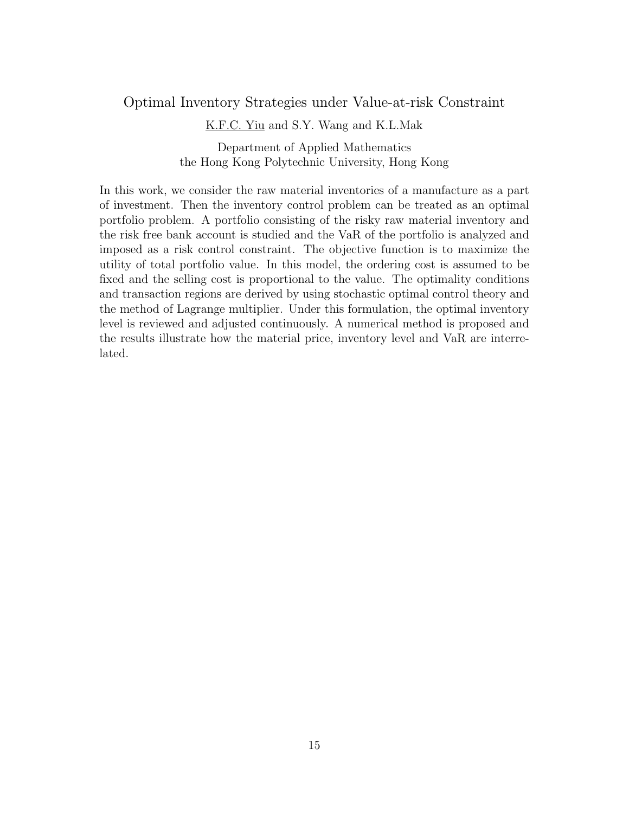### Optimal Inventory Strategies under Value-at-risk Constraint

K.F.C. Yiu and S.Y. Wang and K.L.Mak

Department of Applied Mathematics the Hong Kong Polytechnic University, Hong Kong

In this work, we consider the raw material inventories of a manufacture as a part of investment. Then the inventory control problem can be treated as an optimal portfolio problem. A portfolio consisting of the risky raw material inventory and the risk free bank account is studied and the VaR of the portfolio is analyzed and imposed as a risk control constraint. The objective function is to maximize the utility of total portfolio value. In this model, the ordering cost is assumed to be fixed and the selling cost is proportional to the value. The optimality conditions and transaction regions are derived by using stochastic optimal control theory and the method of Lagrange multiplier. Under this formulation, the optimal inventory level is reviewed and adjusted continuously. A numerical method is proposed and the results illustrate how the material price, inventory level and VaR are interrelated.